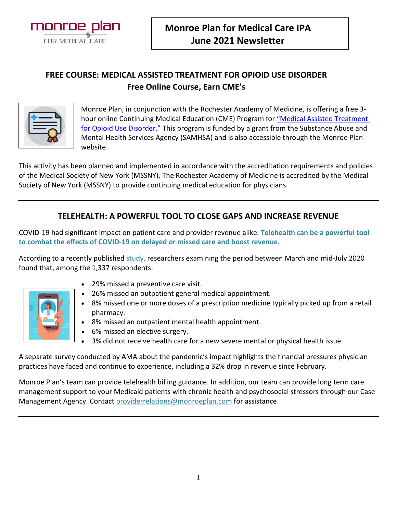

# **FREE COURSE: MEDICAL ASSISTED TREATMENT FOR OPIOID USE DISORDER Free Online Course, Earn CME's**



Monroe Plan, in conjunction with the Rochester Academy of Medicine, is offering a free 3 hour online Continuing Medical Education (CME) Program for ["Medical Assisted Treatment](http://www.monroeplan.com/Portals/0/SAMHSA%20Training%20Powerpoint%202021_1.pptx)  [for Opioid Use Disorder."](http://www.monroeplan.com/Portals/0/SAMHSA%20Training%20Powerpoint%202021_1.pptx) This program is funded by a grant from the Substance Abuse and Mental Health Services Agency (SAMHSA) and is also accessible through the Monroe Plan website.

This activity has been planned and implemented in accordance with the accreditation requirements and policies of the Medical Society of New York (MSSNY). The Rochester Academy of Medicine is accredited by the Medical Society of New York (MSSNY) to provide continuing medical education for physicians.

## **TELEHEALTH: A POWERFUL TOOL TO CLOSE GAPS AND INCREASE REVENUE**

COVID-19 had significant impact on patient care and provider revenue alike. **Telehealth can be a powerful tool to combat the effects of COVID-19 on delayed or missed care and boost revenue.**

According to a recently publishe[d study,](https://www.ama-assn.org/delivering-care/public-health/why-41-patients-have-skipped-care-during-covid-19-pandemic) researchers examining the period between March and mid-July 2020 found that, among the 1,337 respondents:



- 29% missed a preventive care visit.
- 26% missed an outpatient general medical appointment.
- 8% missed one or more doses of a prescription medicine typically picked up from a retail pharmacy.
- 8% missed an outpatient mental health appointment.
- 6% missed an elective surgery.
- 3% did not receive health care for a new severe mental or physical health issue.

A separate survey conducted by AMA about the pandemic's impact highlights the financial pressures physician practices have faced and continue to experience, including a 32% drop in revenue since February.

Monroe Plan's team can provide telehealth billing guidance. In addition, our team can provide long term care management support to your Medicaid patients with chronic health and psychosocial stressors through our Case Management Agency. Contact [providerrelations@monroeplan.com](mailto:ProviderRelations@monroeplan.com) for assistance.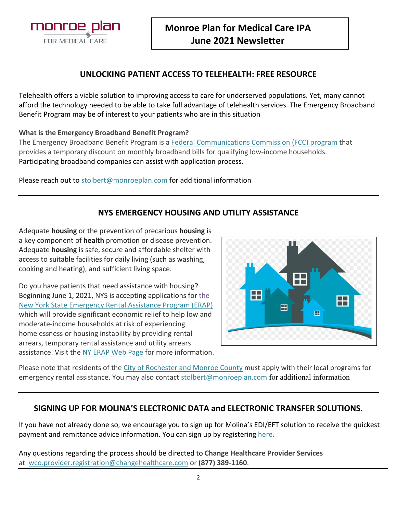

### **UNLOCKING PATIENT ACCESS TO TELEHEALTH: FREE RESOURCE**

Telehealth offers a viable solution to improving access to care for underserved populations. Yet, many cannot afford the technology needed to be able to take full advantage of telehealth services. The Emergency Broadband Benefit Program may be of interest to your patients who are in this situation

#### **What is the Emergency Broadband Benefit Program?**

The Emergency Broadband Benefit Program is a [Federal Communications Commission \(FCC\) program](https://www.fcc.gov/broadbandbenefit/) that provides a temporary discount on monthly broadband bills for qualifying low-income households. Participating broadband companies can assist with application process.

Please reach out to [stolbert@monroeplan.com](mailto:stolbert@monroeplan.com) for additional information

## **NYS EMERGENCY HOUSING AND UTILITY ASSISTANCE**

Adequate **housing** or the prevention of precarious **housing** is a key component of **health** promotion or disease prevention. Adequate **housing** is safe, secure and affordable shelter with access to suitable facilities for daily living (such as washing, cooking and heating), and sufficient living space.

Do you have patients that need assistance with housing? Beginning June 1, 2021, NYS is accepting applications for the [New York State Emergency Rental Assistance Program \(ERAP\)](https://otda.ny.gov/programs/Emergency-Rental-Assistance/) which will provide significant economic relief to help low and moderate-income households at risk of experiencing homelessness or housing instability by providing rental arrears, temporary rental assistance and utility arrears assistance. Visit the [NY ERAP Web Page](https://otda.ny.gov/programs/Emergency-Rental-Assistance/) for more information.



Please note that residents of the [City of Rochester and Monroe County](https://www.monroecounty.gov/hs-rental-assist) must apply with their local programs for emergency rental assistance. You may also contact [stolbert@monroeplan.com](mailto:stolbert@monroeplan.com) for additional information

#### **SIGNING UP FOR MOLINA'S ELECTRONIC DATA and ELECTRONIC TRANSFER SOLUTIONS.**

If you have not already done so, we encourage you to sign up for Molina's EDI/EFT solution to receive the quickest payment and remittance advice information. You can sign up by registering [here](https://providernet.adminisource.com/Start.aspx)**.** 

Any questions regarding the process should be directed to **Change Healthcare Provider Services** at [wco.provider.registration@changehealthcare.com](mailto:wco.provider.registration@changehealthcare.com) or **(877) 389-1160**.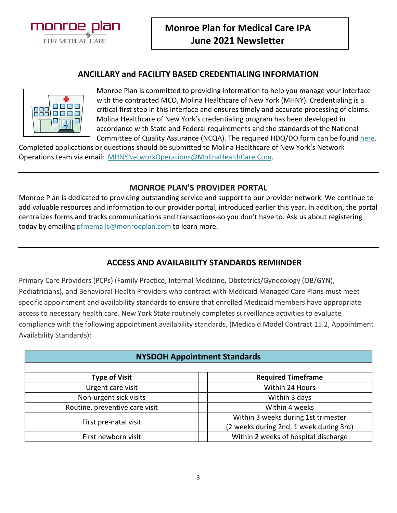

#### **ANCILLARY and FACILITY BASED CREDENTIALING INFORMATION**



Monroe Plan is committed to providing information to help you manage your interface with the contracted MCO, Molina Healthcare of New York (MHNY). Credentialing is a critical first step in this interface and ensures timely and accurate processing of claims. Molina Healthcare of New York's credentialing program has been developed in accordance with State and Federal requirements and the standards of the National Committee of Quality Assurance (NCQA). The required HDO/DO form can be foun[d here.](https://www.molinahealthcare.com/-/media/Molina/PublicWebsite/PDF/Providers/ny/medicaid/HDO-and-DO-Forms-combined_PR_508_FINAL.pdf)

Completed applications or questions should be submitted to Molina Healthcare of New York's Network Operations team via email: [MHNYNetworkOperations@MolinaHealthCare.Com.](mailto:MHNYNetworkOperations@MolinaHealthCare.Com)

#### **MONROE PLAN'S PROVIDER PORTAL**

Monroe Plan is dedicated to providing outstanding service and support to our provider network. We continue to add valuable resources and information to our provider portal, introduced earlier this year. In addition, the portal centralizes forms and tracks communications and transactions-so you don't have to. Ask us about registering today by emailing [pfmemails@monroeplan.com](mailto:pfmemails@monroeplan.com) to learn more.

## **ACCESS AND AVAILABILITY STANDARDS REMIINDER**

Primary Care Providers (PCPs) (Family Practice, Internal Medicine, Obstetrics/Gynecology (OB/GYN), Pediatricians), and Behavioral Health Providers who contract with Medicaid Managed Care Plans must meet specific appointment and availability standards to ensure that enrolled Medicaid members have appropriate access to necessary health care. New York State routinely completes surveillance activities to evaluate compliance with the following appointment availability standards, (Medicaid Model Contract 15.2, Appointment Availability Standards):

| <b>NYSDOH Appointment Standards</b> |                                         |
|-------------------------------------|-----------------------------------------|
| <b>Type of Visit</b>                | <b>Required Timeframe</b>               |
| Urgent care visit                   | Within 24 Hours                         |
| Non-urgent sick visits              | Within 3 days                           |
| Routine, preventive care visit      | Within 4 weeks                          |
| First pre-natal visit               | Within 3 weeks during 1st trimester     |
|                                     | (2 weeks during 2nd, 1 week during 3rd) |
| First newborn visit                 | Within 2 weeks of hospital discharge    |